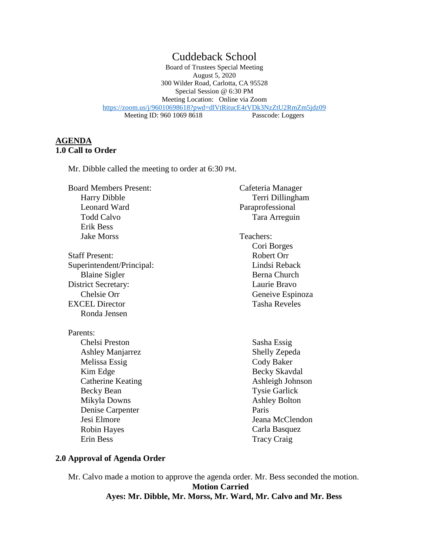# Cuddeback School

Board of Trustees Special Meeting August 5, 2020 300 Wilder Road, Carlotta, CA 95528 Special Session @ 6:30 PM Meeting Location: Online via Zoom <https://zoom.us/j/96010698618?pwd=dlVtRitucE4rVDk3NzZtU2RmZm5jdz09><br>Meeting ID: 960 1069 8618 Passcode: Loggers Meeting ID: 960 1069 8618

### **AGENDA 1.0 Call to Order**

Mr. Dibble called the meeting to order at 6:30 PM.

Board Members Present: Harry Dibble Leonard Ward Todd Calvo Erik Bess Jake Morss

Staff Present: Superintendent/Principal: Blaine Sigler District Secretary: Chelsie Orr EXCEL Director Ronda Jensen

Parents:

Chelsi Preston Ashley Manjarrez Melissa Essig Kim Edge Catherine Keating Becky Bean Mikyla Downs Denise Carpenter Jesi Elmore Robin Hayes Erin Bess

Cafeteria Manager Terri Dillingham Paraprofessional Tara Arreguin

 Teachers: Cori Borges Robert Orr Lindsi Reback Berna Church Laurie Bravo Geneive Espinoza Tasha Reveles

> Sasha Essig Shelly Zepeda Cody Baker Becky Skavdal Ashleigh Johnson Tysie Garlick Ashley Bolton Paris Jeana McClendon Carla Basquez Tracy Craig

### **2.0 Approval of Agenda Order**

Mr. Calvo made a motion to approve the agenda order. Mr. Bess seconded the motion. **Motion Carried Ayes: Mr. Dibble, Mr. Morss, Mr. Ward, Mr. Calvo and Mr. Bess**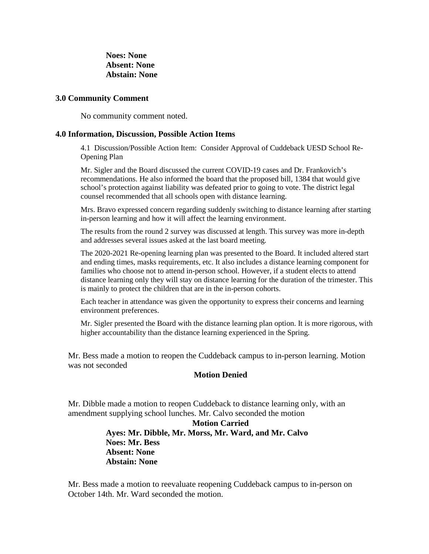**Noes: None Absent: None Abstain: None**

#### **3.0 Community Comment**

No community comment noted.

#### **4.0 Information, Discussion, Possible Action Items**

4.1 Discussion/Possible Action Item: Consider Approval of Cuddeback UESD School Re-Opening Plan

Mr. Sigler and the Board discussed the current COVID-19 cases and Dr. Frankovich's recommendations. He also informed the board that the proposed bill, 1384 that would give school's protection against liability was defeated prior to going to vote. The district legal counsel recommended that all schools open with distance learning.

Mrs. Bravo expressed concern regarding suddenly switching to distance learning after starting in-person learning and how it will affect the learning environment.

The results from the round 2 survey was discussed at length. This survey was more in-depth and addresses several issues asked at the last board meeting.

The 2020-2021 Re-opening learning plan was presented to the Board. It included altered start and ending times, masks requirements, etc. It also includes a distance learning component for families who choose not to attend in-person school. However, if a student elects to attend distance learning only they will stay on distance learning for the duration of the trimester. This is mainly to protect the children that are in the in-person cohorts.

Each teacher in attendance was given the opportunity to express their concerns and learning environment preferences.

Mr. Sigler presented the Board with the distance learning plan option. It is more rigorous, with higher accountability than the distance learning experienced in the Spring.

Mr. Bess made a motion to reopen the Cuddeback campus to in-person learning. Motion was not seconded

### **Motion Denied**

Mr. Dibble made a motion to reopen Cuddeback to distance learning only, with an amendment supplying school lunches. Mr. Calvo seconded the motion

> **Motion Carried Ayes: Mr. Dibble, Mr. Morss, Mr. Ward, and Mr. Calvo Noes: Mr. Bess Absent: None Abstain: None**

Mr. Bess made a motion to reevaluate reopening Cuddeback campus to in-person on October 14th. Mr. Ward seconded the motion.